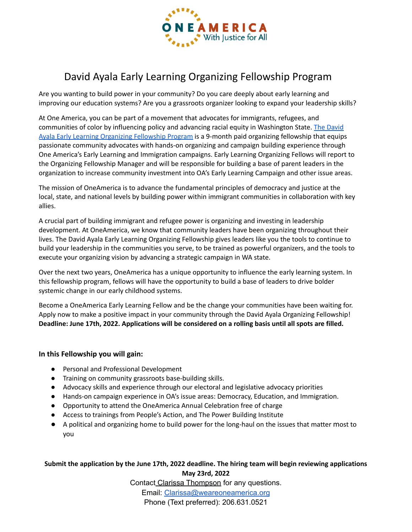

# David Ayala Early Learning Organizing Fellowship Program

Are you wanting to build power in your community? Do you care deeply about early learning and improving our education systems? Are you a grassroots organizer looking to expand your leadership skills?

At One America, you can be part of a movement that advocates for immigrants, refugees, and communities of color by influencing policy and advancing racial equity in Washington State. The [David](https://docs.google.com/document/d/1UYV5tqh7o3o9SGsirBt0vxbWBTJAyJGkasQ0tIPkvfc/edit?usp=sharing) Ayala Early Learning [Organizing](https://docs.google.com/document/d/1UYV5tqh7o3o9SGsirBt0vxbWBTJAyJGkasQ0tIPkvfc/edit?usp=sharing) Fellowship Program is a 9-month paid organizing fellowship that equips passionate community advocates with hands-on organizing and campaign building experience through One America's Early Learning and Immigration campaigns. Early Learning Organizing Fellows will report to the Organizing Fellowship Manager and will be responsible for building a base of parent leaders in the organization to increase community investment into OA's Early Learning Campaign and other issue areas.

The mission of OneAmerica is to advance the fundamental principles of democracy and justice at the local, state, and national levels by building power within immigrant communities in collaboration with key allies.

A crucial part of building immigrant and refugee power is organizing and investing in leadership development. At OneAmerica, we know that community leaders have been organizing throughout their lives. The David Ayala Early Learning Organizing Fellowship gives leaders like you the tools to continue to build your leadership in the communities you serve, to be trained as powerful organizers, and the tools to execute your organizing vision by advancing a strategic campaign in WA state.

Over the next two years, OneAmerica has a unique opportunity to influence the early learning system. In this fellowship program, fellows will have the opportunity to build a base of leaders to drive bolder systemic change in our early childhood systems.

Become a OneAmerica Early Learning Fellow and be the change your communities have been waiting for. Apply now to make a positive impact in your community through the David Ayala Organizing Fellowship! **Deadline: June 17th, 2022. Applications will be considered on a rolling basis until all spots are filled.**

## **In this Fellowship you will gain:**

- Personal and Professional Development
- Training on community grassroots base-building skills.
- Advocacy skills and experience through our electoral and legislative advocacy priorities
- Hands-on campaign experience in OA's issue areas: Democracy, Education, and Immigration.
- Opportunity to attend the OneAmerica Annual Celebration free of charge
- Access to trainings from People's Action, and The Power Building Institute
- A political and organizing home to build power for the long-haul on the issues that matter most to you

## **Submit the application by the June 17th, 2022 deadline. The hiring team will begin reviewing applications May 23rd, 2022**

Contact Clarissa Thompson for any questions.

Email: [Clarissa@weareoneamerica.org](mailto:Clarissa@weareoneamerica.org) Phone (Text preferred): 206.631.0521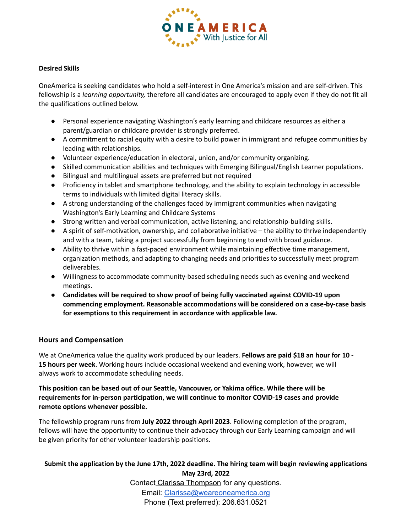

#### **Desired Skills**

OneAmerica is seeking candidates who hold a self-interest in One America's mission and are self-driven. This fellowship is a *learning opportunity,* therefore all candidates are encouraged to apply even if they do not fit all the qualifications outlined below.

- Personal experience navigating Washington's early learning and childcare resources as either a parent/guardian or childcare provider is strongly preferred.
- A commitment to racial equity with a desire to build power in immigrant and refugee communities by leading with relationships.
- Volunteer experience/education in electoral, union, and/or community organizing.
- Skilled communication abilities and techniques with Emerging Bilingual/English Learner populations.
- Bilingual and multilingual assets are preferred but not required
- Proficiency in tablet and smartphone technology, and the ability to explain technology in accessible terms to individuals with limited digital literacy skills.
- A strong understanding of the challenges faced by immigrant communities when navigating Washington's Early Learning and Childcare Systems
- Strong written and verbal communication, active listening, and relationship-building skills.
- A spirit of self-motivation, ownership, and collaborative initiative the ability to thrive independently and with a team, taking a project successfully from beginning to end with broad guidance.
- Ability to thrive within a fast-paced environment while maintaining effective time management, organization methods, and adapting to changing needs and priorities to successfully meet program deliverables.
- Willingness to accommodate community-based scheduling needs such as evening and weekend meetings.
- **Candidates will be required to show proof of being fully vaccinated against COVID-19 upon commencing employment. Reasonable accommodations will be considered on a case-by-case basis for exemptions to this requirement in accordance with applicable law.**

#### **Hours and Compensation**

We at OneAmerica value the quality work produced by our leaders. **Fellows are paid \$18 an hour for 10 - 15 hours per week**. Working hours include occasional weekend and evening work, however, we will always work to accommodate scheduling needs.

#### **This position can be based out of our Seattle, Vancouver, or Yakima office. While there will be requirements for in-person participation, we will continue to monitor COVID-19 cases and provide remote options whenever possible.**

The fellowship program runs from **July 2022 through April 2023**. Following completion of the program, fellows will have the opportunity to continue their advocacy through our Early Learning campaign and will be given priority for other volunteer leadership positions.

## **Submit the application by the June 17th, 2022 deadline. The hiring team will begin reviewing applications May 23rd, 2022**

Contact Clarissa Thompson for any questions. Email: [Clarissa@weareoneamerica.org](mailto:Clarissa@weareoneamerica.org) Phone (Text preferred): 206.631.0521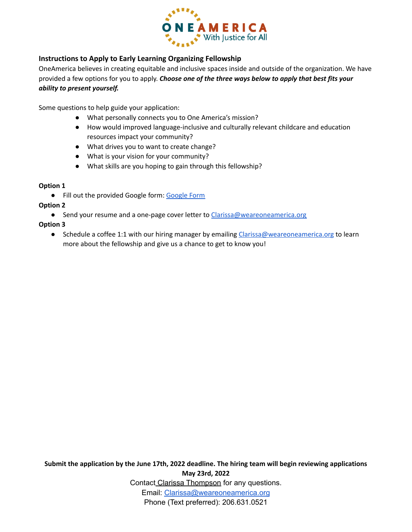

## **Instructions to Apply to Early Learning Organizing Fellowship**

OneAmerica believes in creating equitable and inclusive spaces inside and outside of the organization. We have provided a few options for you to apply. *Choose one of the three ways below to apply that best fits your ability to present yourself.*

Some questions to help guide your application:

- What personally connects you to One America's mission?
- How would improved language-inclusive and culturally relevant childcare and education resources impact your community?
- What drives you to want to create change?
- What is your vision for your community?
- What skills are you hoping to gain through this fellowship?

#### **Option 1**

● Fill out the provided [Google](https://docs.google.com/forms/d/e/1FAIpQLSdGTtJpAzhd4LRBi4UtEKU7vGHl12gI6NANqJiEpc6616avfQ/viewform?usp=sf_link) form: Google Form

#### **Option 2**

● Send your resume and a one-page cover letter to [Clarissa@weareoneamerica.org](mailto:Clarissa@weareoneamerica.org)

#### **Option 3**

● Schedule a coffee 1:1 with our hiring manager by emailing [Clarissa@weareoneamerica.org](mailto:Clarissa@weareoneamerica.org) to learn more about the fellowship and give us a chance to get to know you!

**Submit the application by the June 17th, 2022 deadline. The hiring team will begin reviewing applications May 23rd, 2022** Contact Clarissa Thompson for any questions. Email: [Clarissa@weareoneamerica.org](mailto:Clarissa@weareoneamerica.org) Phone (Text preferred): 206.631.0521